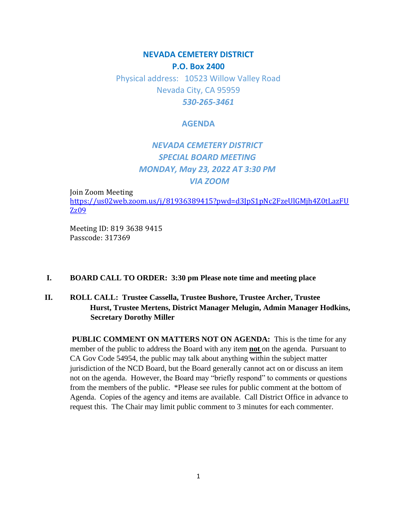## **NEVADA CEMETERY DISTRICT P.O. Box 2400**

Physical address: 10523 Willow Valley Road Nevada City, CA 95959 *530-265-3461*

#### **AGENDA**

# *NEVADA CEMETERY DISTRICT SPECIAL BOARD MEETING MONDAY, May 23, 2022 AT 3:30 PM VIA ZOOM*

Join Zoom Meeting [https://us02web.zoom.us/j/81936389415?pwd=d3JpS1pNc2FzeUlGMjh4Z0tLazFU](https://us02web.zoom.us/j/81936389415?pwd=d3JpS1pNc2FzeUlGMjh4Z0tLazFUZz09) [Zz09](https://us02web.zoom.us/j/81936389415?pwd=d3JpS1pNc2FzeUlGMjh4Z0tLazFUZz09)

Meeting ID: 819 3638 9415 Passcode: 317369

### **I. BOARD CALL TO ORDER: 3:30 pm Please note time and meeting place**

### **II. ROLL CALL: Trustee Cassella, Trustee Bushore, Trustee Archer, Trustee Hurst, Trustee Mertens, District Manager Melugin, Admin Manager Hodkins, Secretary Dorothy Miller**

**PUBLIC COMMENT ON MATTERS NOT ON AGENDA:** This is the time for any member of the public to address the Board with any item **not** on the agenda. Pursuant to CA Gov Code 54954, the public may talk about anything within the subject matter jurisdiction of the NCD Board, but the Board generally cannot act on or discuss an item not on the agenda. However, the Board may "briefly respond" to comments or questions from the members of the public. \*Please see rules for public comment at the bottom of Agenda. Copies of the agency and items are available. Call District Office in advance to request this. The Chair may limit public comment to 3 minutes for each commenter.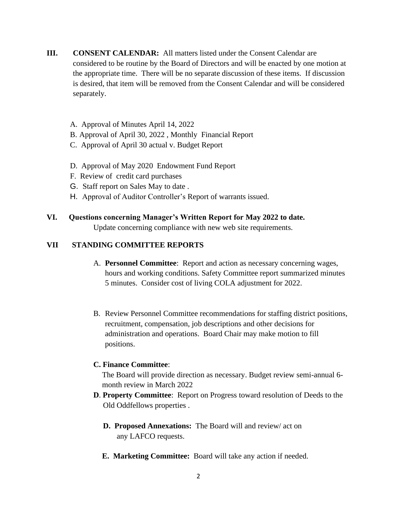- **III. CONSENT CALENDAR:** All matters listed under the Consent Calendar are considered to be routine by the Board of Directors and will be enacted by one motion at the appropriate time. There will be no separate discussion of these items. If discussion is desired, that item will be removed from the Consent Calendar and will be considered separately.
	- A. Approval of Minutes April 14, 2022
	- B. Approval of April 30, 2022 , Monthly Financial Report
	- C. Approval of April 30 actual v. Budget Report
	- D. Approval of May 2020 Endowment Fund Report
	- F. Review of credit card purchases
	- G. Staff report on Sales May to date .
	- H. Approval of Auditor Controller's Report of warrants issued.
- **VI. Questions concerning Manager's Written Report for May 2022 to date.** Update concerning compliance with new web site requirements.

#### **VII STANDING COMMITTEE REPORTS**

- A. **Personnel Committee**: Report and action as necessary concerning wages, hours and working conditions. Safety Committee report summarized minutes 5 minutes. Consider cost of living COLA adjustment for 2022.
- B. Review Personnel Committee recommendations for staffing district positions, recruitment, compensation, job descriptions and other decisions for administration and operations. Board Chair may make motion to fill positions.

#### **C. Finance Committee**:

The Board will provide direction as necessary. Budget review semi-annual 6 month review in March 2022

- **D**. **Property Committee**: Report on Progress toward resolution of Deeds to the Old Oddfellows properties .
	- **D. Proposed Annexations:** The Board will and review/ act on any LAFCO requests.
	- **E. Marketing Committee:** Board will take any action if needed.